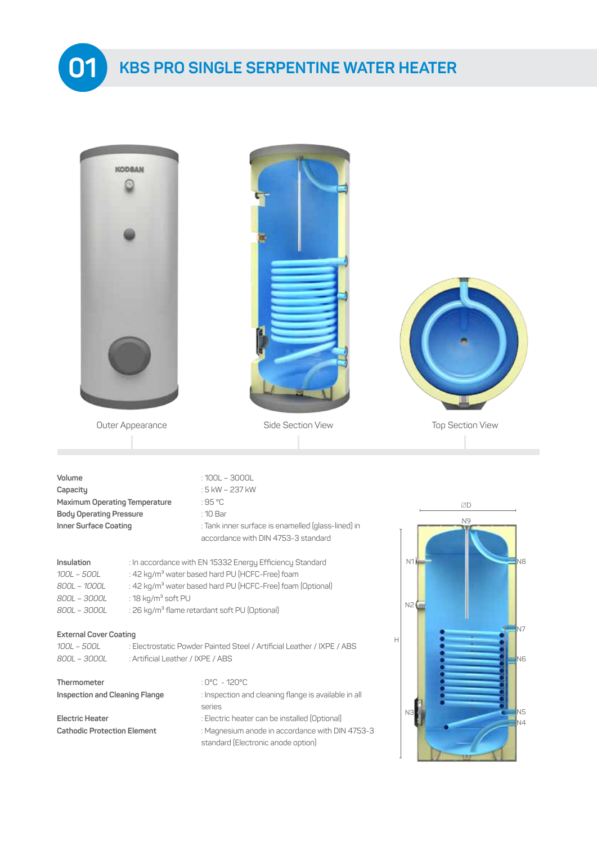

| <b>KODBAN</b><br>Outer Appearance                                                                                                                                                                                                                                                                                                                                               | Side Section View                                                                                                                                     | <b>Top Section View</b>               |
|---------------------------------------------------------------------------------------------------------------------------------------------------------------------------------------------------------------------------------------------------------------------------------------------------------------------------------------------------------------------------------|-------------------------------------------------------------------------------------------------------------------------------------------------------|---------------------------------------|
| Volume<br>Capacity<br>Maximum Operating Temperature<br><b>Body Operating Pressure</b><br>Inner Surface Coating                                                                                                                                                                                                                                                                  | $:100L - 3000L$<br>: 5 kW - 237 kW<br>:95 °C<br>: 10 Bar<br>: Tank inner surface is enamelled (glass-lined) in<br>accordance with DIN 4753-3 standard | ØD<br>N <sub>9</sub>                  |
| : In accordance with EN 15332 Energy Efficiency Standard<br>Insulation<br>: 42 kg/m <sup>3</sup> water based hard PU (HCFC-Free) foam<br>$100L - 500L$<br>: 42 kg/m <sup>3</sup> water based hard PU (HCFC-Free) foam (Optional)<br>800L - 1000L<br>: 18 kg/m <sup>3</sup> soft PU<br>800L - 3000L<br>: 26 kg/m <sup>3</sup> flame retardant soft PU (Optional)<br>800L - 3000L | N1<br>N <sub>8</sub><br>N2                                                                                                                            |                                       |
| <b>External Cover Coating</b><br>100L - 500L<br>800L - 3000L<br>: Artificial Leather / IXPE / ABS                                                                                                                                                                                                                                                                               | : Electrostatic Powder Painted Steel / Artificial Leather / IXPE / ABS                                                                                | IN7<br>$\mathsf{H}$<br>N <sub>6</sub> |
| Thermometer<br>Inspection and Cleaning Flange                                                                                                                                                                                                                                                                                                                                   | : $0^{\circ}$ C - 120 $^{\circ}$ C<br>: Inspection and cleaning flange is available in all<br>series                                                  | N5<br>N3                              |
| <b>Electric Heater</b><br><b>Cathodic Protection Element</b>                                                                                                                                                                                                                                                                                                                    | : Electric heater can be installed (Optional)<br>: Magnesium anode in accordance with DIN 4753-3<br>standard (Electronic anode option)                | N4                                    |